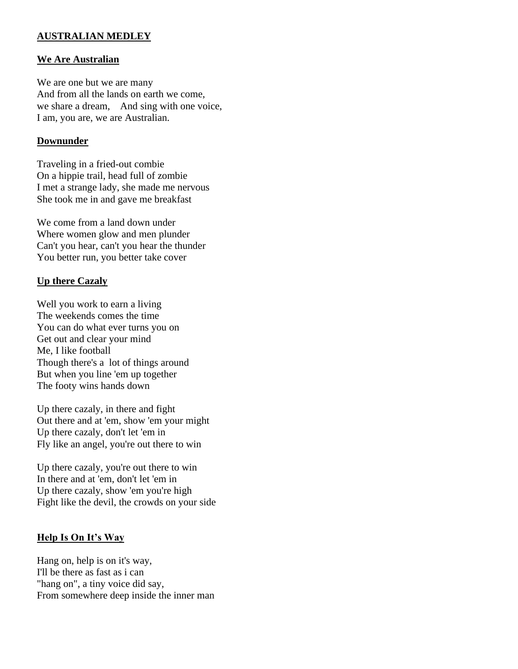## **AUSTRALIAN MEDLEY**

### **We Are Australian**

We are one but we are many And from all the lands on earth we come, we share a dream, And sing with one voice, I am, you are, we are Australian.

### **Downunder**

Traveling in a fried-out combie On a hippie trail, head full of zombie I met a strange lady, she made me nervous She took me in and gave me breakfast

We come from a land down under Where women glow and men plunder Can't you hear, can't you hear the thunder You better run, you better take cover

## **Up there Cazaly**

Well you work to earn a living The weekends comes the time You can do what ever turns you on Get out and clear your mind Me, I like football Though there's a lot of things around But when you line 'em up together The footy wins hands down

Up there cazaly, in there and fight Out there and at 'em, show 'em your might Up there cazaly, don't let 'em in Fly like an angel, you're out there to win

Up there cazaly, you're out there to win In there and at 'em, don't let 'em in Up there cazaly, show 'em you're high Fight like the devil, the crowds on your side

# **Help Is On It's Way**

Hang on, help is on it's way, I'll be there as fast as i can "hang on", a tiny voice did say, From somewhere deep inside the inner man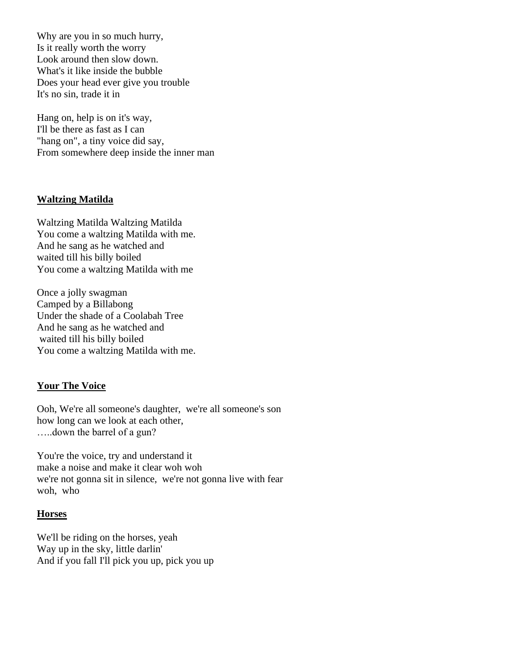Why are you in so much hurry, Is it really worth the worry Look around then slow down. What's it like inside the bubble Does your head ever give you trouble It's no sin, trade it in

Hang on, help is on it's way, I'll be there as fast as I can "hang on", a tiny voice did say, From somewhere deep inside the inner man

### **Waltzing Matilda**

Waltzing Matilda Waltzing Matilda You come a waltzing Matilda with me. And he sang as he watched and waited till his billy boiled You come a waltzing Matilda with me

Once a jolly swagman Camped by a Billabong Under the shade of a Coolabah Tree And he sang as he watched and waited till his billy boiled You come a waltzing Matilda with me.

# **Your The Voice**

Ooh, We're all someone's daughter, we're all someone's son how long can we look at each other, …..down the barrel of a gun?

You're the voice, try and understand it make a noise and make it clear woh woh we're not gonna sit in silence, we're not gonna live with fear woh, who

#### **Horses**

We'll be riding on the horses, yeah Way up in the sky, little darlin' And if you fall I'll pick you up, pick you up